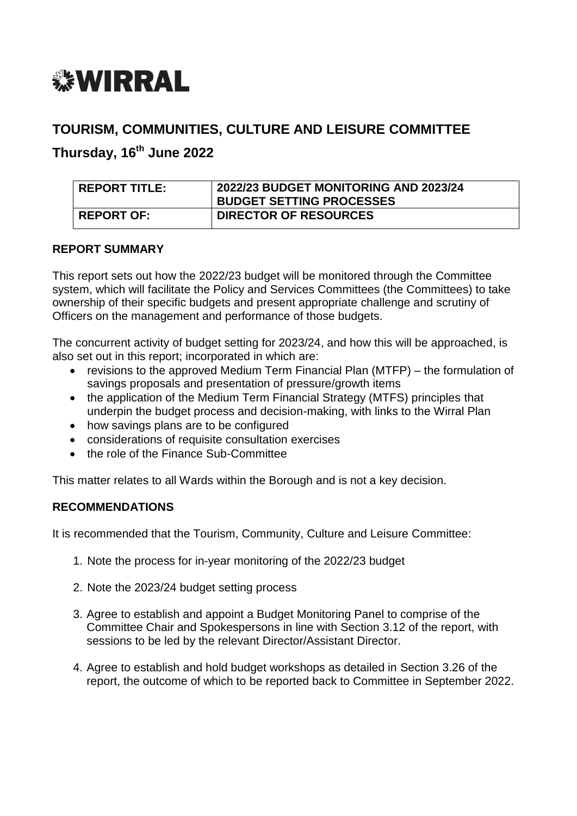

#### **TOURISM, COMMUNITIES, CULTURE AND LEISURE COMMITTEE**

**Thursday, 16th June 2022**

| REPORT TITLE:     | 2022/23 BUDGET MONITORING AND 2023/24<br><b>BUDGET SETTING PROCESSES</b> |
|-------------------|--------------------------------------------------------------------------|
| <b>REPORT OF:</b> | <b>DIRECTOR OF RESOURCES</b>                                             |

#### **REPORT SUMMARY**

This report sets out how the 2022/23 budget will be monitored through the Committee system, which will facilitate the Policy and Services Committees (the Committees) to take ownership of their specific budgets and present appropriate challenge and scrutiny of Officers on the management and performance of those budgets.

The concurrent activity of budget setting for 2023/24, and how this will be approached, is also set out in this report; incorporated in which are:

- revisions to the approved Medium Term Financial Plan (MTFP) the formulation of savings proposals and presentation of pressure/growth items
- the application of the Medium Term Financial Strategy (MTFS) principles that underpin the budget process and decision-making, with links to the Wirral Plan
- how savings plans are to be configured
- considerations of requisite consultation exercises
- the role of the Finance Sub-Committee

This matter relates to all Wards within the Borough and is not a key decision.

#### **RECOMMENDATIONS**

It is recommended that the Tourism, Community, Culture and Leisure Committee:

- 1. Note the process for in-year monitoring of the 2022/23 budget
- 2. Note the 2023/24 budget setting process
- 3. Agree to establish and appoint a Budget Monitoring Panel to comprise of the Committee Chair and Spokespersons in line with Section 3.12 of the report, with sessions to be led by the relevant Director/Assistant Director.
- 4. Agree to establish and hold budget workshops as detailed in Section 3.26 of the report, the outcome of which to be reported back to Committee in September 2022.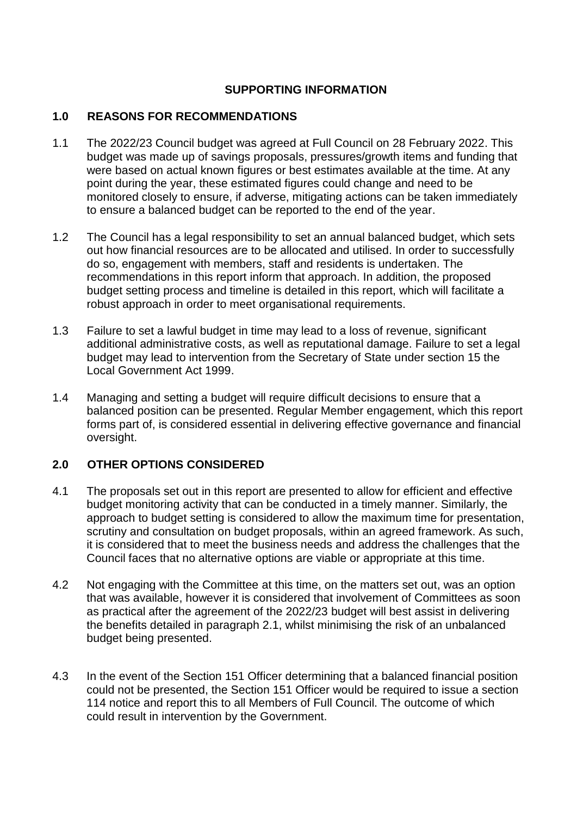#### **SUPPORTING INFORMATION**

#### **1.0 REASONS FOR RECOMMENDATIONS**

- 1.1 The 2022/23 Council budget was agreed at Full Council on 28 February 2022. This budget was made up of savings proposals, pressures/growth items and funding that were based on actual known figures or best estimates available at the time. At any point during the year, these estimated figures could change and need to be monitored closely to ensure, if adverse, mitigating actions can be taken immediately to ensure a balanced budget can be reported to the end of the year.
- 1.2 The Council has a legal responsibility to set an annual balanced budget, which sets out how financial resources are to be allocated and utilised. In order to successfully do so, engagement with members, staff and residents is undertaken. The recommendations in this report inform that approach. In addition, the proposed budget setting process and timeline is detailed in this report, which will facilitate a robust approach in order to meet organisational requirements.
- 1.3 Failure to set a lawful budget in time may lead to a loss of revenue, significant additional administrative costs, as well as reputational damage. Failure to set a legal budget may lead to intervention from the Secretary of State under section 15 the Local Government Act 1999.
- 1.4 Managing and setting a budget will require difficult decisions to ensure that a balanced position can be presented. Regular Member engagement, which this report forms part of, is considered essential in delivering effective governance and financial oversight.

#### **2.0 OTHER OPTIONS CONSIDERED**

- 4.1 The proposals set out in this report are presented to allow for efficient and effective budget monitoring activity that can be conducted in a timely manner. Similarly, the approach to budget setting is considered to allow the maximum time for presentation, scrutiny and consultation on budget proposals, within an agreed framework. As such, it is considered that to meet the business needs and address the challenges that the Council faces that no alternative options are viable or appropriate at this time.
- 4.2 Not engaging with the Committee at this time, on the matters set out, was an option that was available, however it is considered that involvement of Committees as soon as practical after the agreement of the 2022/23 budget will best assist in delivering the benefits detailed in paragraph 2.1, whilst minimising the risk of an unbalanced budget being presented.
- 4.3 In the event of the Section 151 Officer determining that a balanced financial position could not be presented, the Section 151 Officer would be required to issue a section 114 notice and report this to all Members of Full Council. The outcome of which could result in intervention by the Government.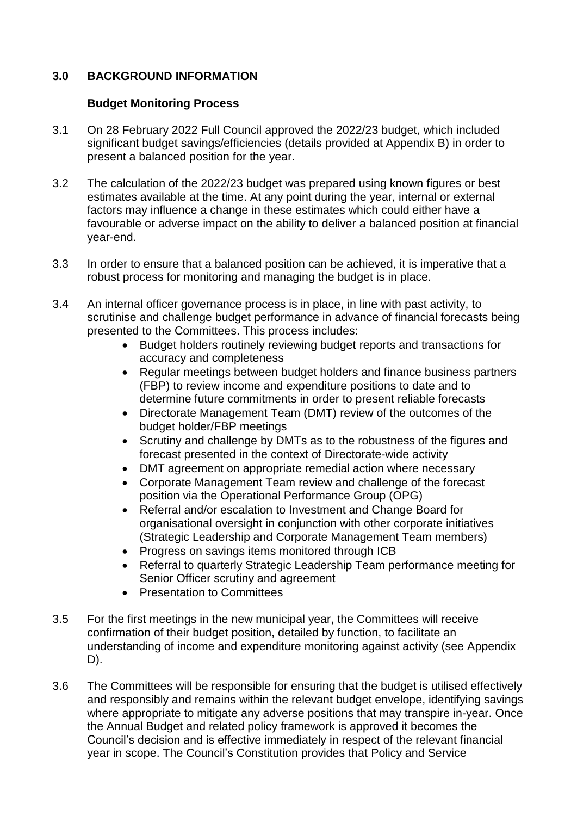#### **3.0 BACKGROUND INFORMATION**

#### **Budget Monitoring Process**

- 3.1 On 28 February 2022 Full Council approved the 2022/23 budget, which included significant budget savings/efficiencies (details provided at Appendix B) in order to present a balanced position for the year.
- 3.2 The calculation of the 2022/23 budget was prepared using known figures or best estimates available at the time. At any point during the year, internal or external factors may influence a change in these estimates which could either have a favourable or adverse impact on the ability to deliver a balanced position at financial year-end.
- 3.3 In order to ensure that a balanced position can be achieved, it is imperative that a robust process for monitoring and managing the budget is in place.
- 3.4 An internal officer governance process is in place, in line with past activity, to scrutinise and challenge budget performance in advance of financial forecasts being presented to the Committees. This process includes:
	- Budget holders routinely reviewing budget reports and transactions for accuracy and completeness
	- Regular meetings between budget holders and finance business partners (FBP) to review income and expenditure positions to date and to determine future commitments in order to present reliable forecasts
	- Directorate Management Team (DMT) review of the outcomes of the budget holder/FBP meetings
	- Scrutiny and challenge by DMTs as to the robustness of the figures and forecast presented in the context of Directorate-wide activity
	- DMT agreement on appropriate remedial action where necessary
	- Corporate Management Team review and challenge of the forecast position via the Operational Performance Group (OPG)
	- Referral and/or escalation to Investment and Change Board for organisational oversight in conjunction with other corporate initiatives (Strategic Leadership and Corporate Management Team members)
	- Progress on savings items monitored through ICB
	- Referral to quarterly Strategic Leadership Team performance meeting for Senior Officer scrutiny and agreement
	- Presentation to Committees
- 3.5 For the first meetings in the new municipal year, the Committees will receive confirmation of their budget position, detailed by function, to facilitate an understanding of income and expenditure monitoring against activity (see Appendix D).
- 3.6 The Committees will be responsible for ensuring that the budget is utilised effectively and responsibly and remains within the relevant budget envelope, identifying savings where appropriate to mitigate any adverse positions that may transpire in-year. Once the Annual Budget and related policy framework is approved it becomes the Council's decision and is effective immediately in respect of the relevant financial year in scope. The Council's Constitution provides that Policy and Service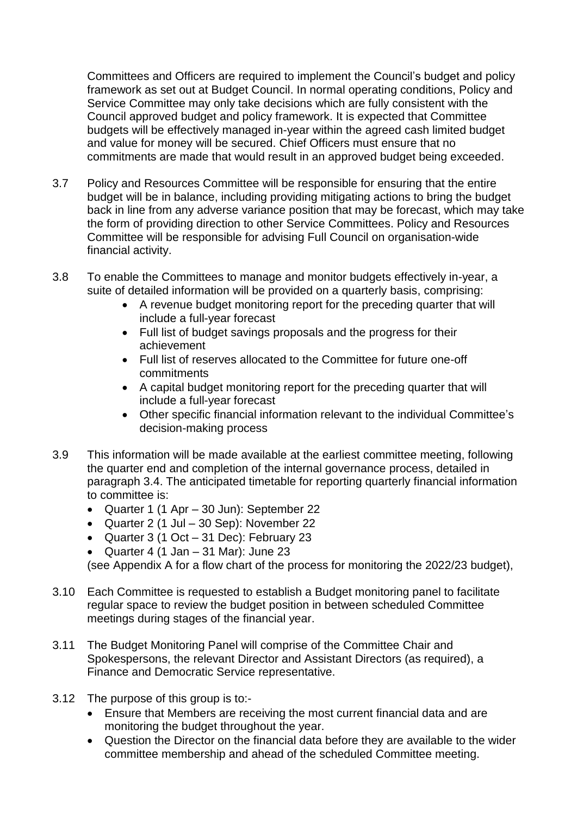Committees and Officers are required to implement the Council's budget and policy framework as set out at Budget Council. In normal operating conditions, Policy and Service Committee may only take decisions which are fully consistent with the Council approved budget and policy framework. It is expected that Committee budgets will be effectively managed in-year within the agreed cash limited budget and value for money will be secured. Chief Officers must ensure that no commitments are made that would result in an approved budget being exceeded.

- 3.7 Policy and Resources Committee will be responsible for ensuring that the entire budget will be in balance, including providing mitigating actions to bring the budget back in line from any adverse variance position that may be forecast, which may take the form of providing direction to other Service Committees. Policy and Resources Committee will be responsible for advising Full Council on organisation-wide financial activity.
- 3.8 To enable the Committees to manage and monitor budgets effectively in-year, a suite of detailed information will be provided on a quarterly basis, comprising:
	- A revenue budget monitoring report for the preceding quarter that will include a full-year forecast
	- Full list of budget savings proposals and the progress for their achievement
	- Full list of reserves allocated to the Committee for future one-off commitments
	- A capital budget monitoring report for the preceding quarter that will include a full-year forecast
	- Other specific financial information relevant to the individual Committee's decision-making process
- 3.9 This information will be made available at the earliest committee meeting, following the quarter end and completion of the internal governance process, detailed in paragraph 3.4. The anticipated timetable for reporting quarterly financial information to committee is:
	- Quarter 1 (1 Apr 30 Jun): September 22
	- Quarter 2 (1 Jul 30 Sep): November 22
	- Quarter 3 (1 Oct 31 Dec): February 23
	- Quarter 4 (1 Jan  $-$  31 Mar): June 23

(see Appendix A for a flow chart of the process for monitoring the 2022/23 budget),

- 3.10 Each Committee is requested to establish a Budget monitoring panel to facilitate regular space to review the budget position in between scheduled Committee meetings during stages of the financial year.
- 3.11 The Budget Monitoring Panel will comprise of the Committee Chair and Spokespersons, the relevant Director and Assistant Directors (as required), a Finance and Democratic Service representative.
- 3.12 The purpose of this group is to:-
	- Ensure that Members are receiving the most current financial data and are monitoring the budget throughout the year.
	- Question the Director on the financial data before they are available to the wider committee membership and ahead of the scheduled Committee meeting.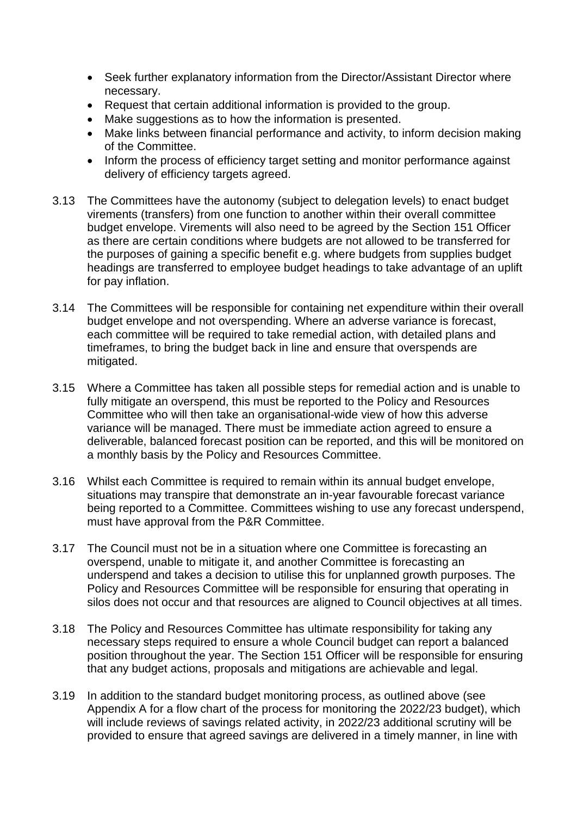- Seek further explanatory information from the Director/Assistant Director where necessary.
- Request that certain additional information is provided to the group.
- Make suggestions as to how the information is presented.
- Make links between financial performance and activity, to inform decision making of the Committee.
- Inform the process of efficiency target setting and monitor performance against delivery of efficiency targets agreed.
- 3.13 The Committees have the autonomy (subject to delegation levels) to enact budget virements (transfers) from one function to another within their overall committee budget envelope. Virements will also need to be agreed by the Section 151 Officer as there are certain conditions where budgets are not allowed to be transferred for the purposes of gaining a specific benefit e.g. where budgets from supplies budget headings are transferred to employee budget headings to take advantage of an uplift for pay inflation.
- 3.14 The Committees will be responsible for containing net expenditure within their overall budget envelope and not overspending. Where an adverse variance is forecast, each committee will be required to take remedial action, with detailed plans and timeframes, to bring the budget back in line and ensure that overspends are mitigated.
- 3.15 Where a Committee has taken all possible steps for remedial action and is unable to fully mitigate an overspend, this must be reported to the Policy and Resources Committee who will then take an organisational-wide view of how this adverse variance will be managed. There must be immediate action agreed to ensure a deliverable, balanced forecast position can be reported, and this will be monitored on a monthly basis by the Policy and Resources Committee.
- 3.16 Whilst each Committee is required to remain within its annual budget envelope, situations may transpire that demonstrate an in-year favourable forecast variance being reported to a Committee. Committees wishing to use any forecast underspend, must have approval from the P&R Committee.
- 3.17 The Council must not be in a situation where one Committee is forecasting an overspend, unable to mitigate it, and another Committee is forecasting an underspend and takes a decision to utilise this for unplanned growth purposes. The Policy and Resources Committee will be responsible for ensuring that operating in silos does not occur and that resources are aligned to Council objectives at all times.
- 3.18 The Policy and Resources Committee has ultimate responsibility for taking any necessary steps required to ensure a whole Council budget can report a balanced position throughout the year. The Section 151 Officer will be responsible for ensuring that any budget actions, proposals and mitigations are achievable and legal.
- 3.19 In addition to the standard budget monitoring process, as outlined above (see Appendix A for a flow chart of the process for monitoring the 2022/23 budget), which will include reviews of savings related activity, in 2022/23 additional scrutiny will be provided to ensure that agreed savings are delivered in a timely manner, in line with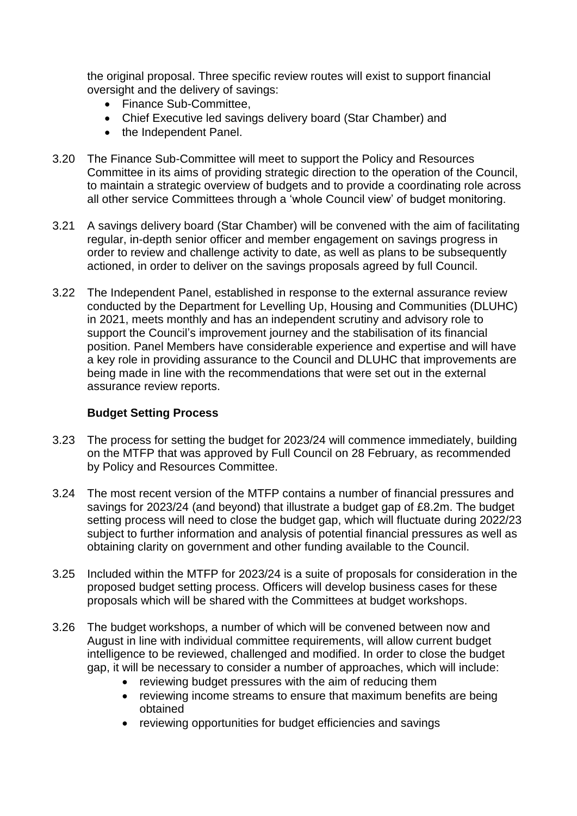the original proposal. Three specific review routes will exist to support financial oversight and the delivery of savings:

- Finance Sub-Committee,
- Chief Executive led savings delivery board (Star Chamber) and
- the Independent Panel.
- 3.20 The Finance Sub-Committee will meet to support the Policy and Resources Committee in its aims of providing strategic direction to the operation of the Council, to maintain a strategic overview of budgets and to provide a coordinating role across all other service Committees through a 'whole Council view' of budget monitoring.
- 3.21 A savings delivery board (Star Chamber) will be convened with the aim of facilitating regular, in-depth senior officer and member engagement on savings progress in order to review and challenge activity to date, as well as plans to be subsequently actioned, in order to deliver on the savings proposals agreed by full Council.
- 3.22 The Independent Panel, established in response to the external assurance review conducted by the Department for Levelling Up, Housing and Communities (DLUHC) in 2021, meets monthly and has an independent scrutiny and advisory role to support the Council's improvement journey and the stabilisation of its financial position. Panel Members have considerable experience and expertise and will have a key role in providing assurance to the Council and DLUHC that improvements are being made in line with the recommendations that were set out in the external assurance review reports.

#### **Budget Setting Process**

- 3.23 The process for setting the budget for 2023/24 will commence immediately, building on the MTFP that was approved by Full Council on 28 February, as recommended by Policy and Resources Committee.
- 3.24 The most recent version of the MTFP contains a number of financial pressures and savings for 2023/24 (and beyond) that illustrate a budget gap of £8.2m. The budget setting process will need to close the budget gap, which will fluctuate during 2022/23 subject to further information and analysis of potential financial pressures as well as obtaining clarity on government and other funding available to the Council.
- 3.25 Included within the MTFP for 2023/24 is a suite of proposals for consideration in the proposed budget setting process. Officers will develop business cases for these proposals which will be shared with the Committees at budget workshops.
- 3.26 The budget workshops, a number of which will be convened between now and August in line with individual committee requirements, will allow current budget intelligence to be reviewed, challenged and modified. In order to close the budget gap, it will be necessary to consider a number of approaches, which will include:
	- reviewing budget pressures with the aim of reducing them
	- reviewing income streams to ensure that maximum benefits are being obtained
	- reviewing opportunities for budget efficiencies and savings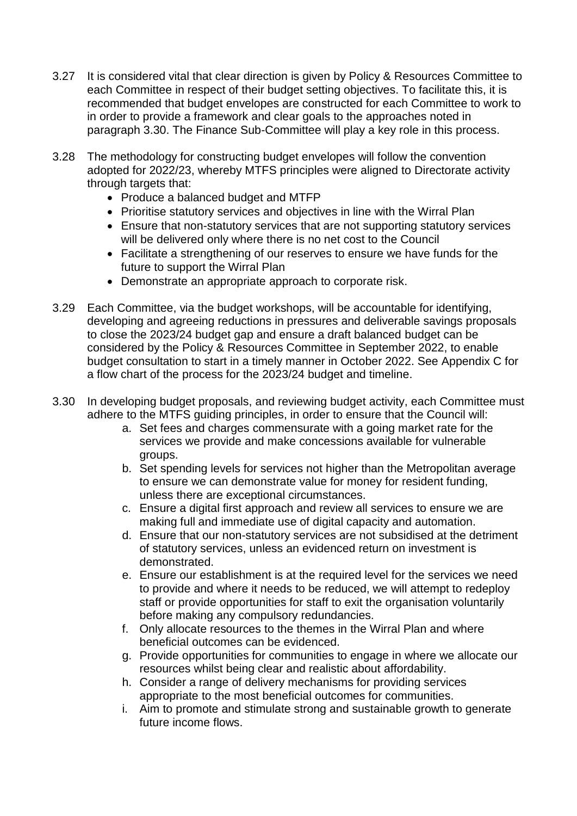- 3.27 It is considered vital that clear direction is given by Policy & Resources Committee to each Committee in respect of their budget setting objectives. To facilitate this, it is recommended that budget envelopes are constructed for each Committee to work to in order to provide a framework and clear goals to the approaches noted in paragraph 3.30. The Finance Sub-Committee will play a key role in this process.
- 3.28 The methodology for constructing budget envelopes will follow the convention adopted for 2022/23, whereby MTFS principles were aligned to Directorate activity through targets that:
	- Produce a balanced budget and MTFP
	- Prioritise statutory services and objectives in line with the Wirral Plan
	- Ensure that non-statutory services that are not supporting statutory services will be delivered only where there is no net cost to the Council
	- Facilitate a strengthening of our reserves to ensure we have funds for the future to support the Wirral Plan
	- Demonstrate an appropriate approach to corporate risk.
- 3.29 Each Committee, via the budget workshops, will be accountable for identifying, developing and agreeing reductions in pressures and deliverable savings proposals to close the 2023/24 budget gap and ensure a draft balanced budget can be considered by the Policy & Resources Committee in September 2022, to enable budget consultation to start in a timely manner in October 2022. See Appendix C for a flow chart of the process for the 2023/24 budget and timeline.
- 3.30 In developing budget proposals, and reviewing budget activity, each Committee must adhere to the MTFS guiding principles, in order to ensure that the Council will:
	- a. Set fees and charges commensurate with a going market rate for the services we provide and make concessions available for vulnerable groups.
	- b. Set spending levels for services not higher than the Metropolitan average to ensure we can demonstrate value for money for resident funding, unless there are exceptional circumstances.
	- c. Ensure a digital first approach and review all services to ensure we are making full and immediate use of digital capacity and automation.
	- d. Ensure that our non-statutory services are not subsidised at the detriment of statutory services, unless an evidenced return on investment is demonstrated.
	- e. Ensure our establishment is at the required level for the services we need to provide and where it needs to be reduced, we will attempt to redeploy staff or provide opportunities for staff to exit the organisation voluntarily before making any compulsory redundancies.
	- f. Only allocate resources to the themes in the Wirral Plan and where beneficial outcomes can be evidenced.
	- g. Provide opportunities for communities to engage in where we allocate our resources whilst being clear and realistic about affordability.
	- h. Consider a range of delivery mechanisms for providing services appropriate to the most beneficial outcomes for communities.
	- i. Aim to promote and stimulate strong and sustainable growth to generate future income flows.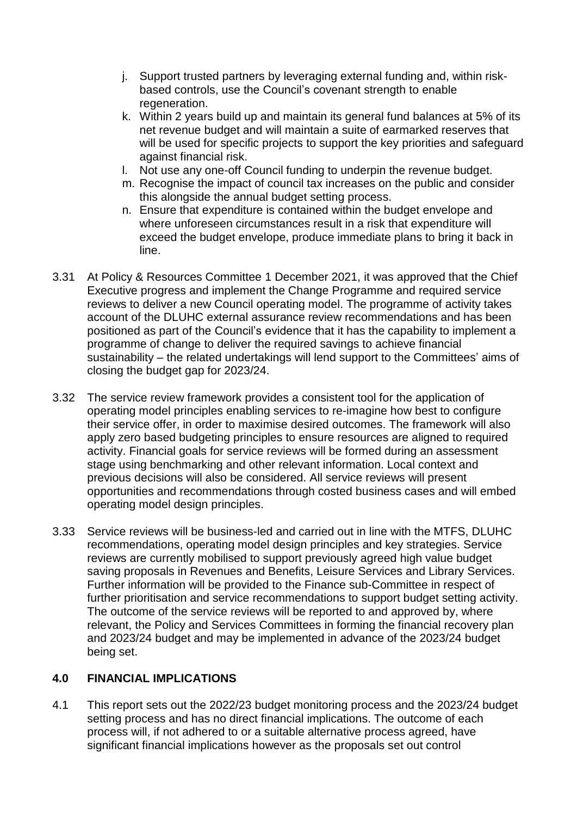- j. Support trusted partners by leveraging external funding and, within riskbased controls, use the Council's covenant strength to enable regeneration.
- k. Within 2 years build up and maintain its general fund balances at 5% of its net revenue budget and will maintain a suite of earmarked reserves that will be used for specific projects to support the key priorities and safeguard against financial risk.
- l. Not use any one-off Council funding to underpin the revenue budget.
- m. Recognise the impact of council tax increases on the public and consider this alongside the annual budget setting process.
- n. Ensure that expenditure is contained within the budget envelope and where unforeseen circumstances result in a risk that expenditure will exceed the budget envelope, produce immediate plans to bring it back in line.
- 3.31 At Policy & Resources Committee 1 December 2021, it was approved that the Chief Executive progress and implement the Change Programme and required service reviews to deliver a new Council operating model. The programme of activity takes account of the DLUHC external assurance review recommendations and has been positioned as part of the Council's evidence that it has the capability to implement a programme of change to deliver the required savings to achieve financial sustainability – the related undertakings will lend support to the Committees' aims of closing the budget gap for 2023/24.
- 3.32 The service review framework provides a consistent tool for the application of operating model principles enabling services to re-imagine how best to configure their service offer, in order to maximise desired outcomes. The framework will also apply zero based budgeting principles to ensure resources are aligned to required activity. Financial goals for service reviews will be formed during an assessment stage using benchmarking and other relevant information. Local context and previous decisions will also be considered. All service reviews will present opportunities and recommendations through costed business cases and will embed operating model design principles.
- 3.33 Service reviews will be business-led and carried out in line with the MTFS, DLUHC recommendations, operating model design principles and key strategies. Service reviews are currently mobilised to support previously agreed high value budget saving proposals in Revenues and Benefits, Leisure Services and Library Services. Further information will be provided to the Finance sub-Committee in respect of further prioritisation and service recommendations to support budget setting activity. The outcome of the service reviews will be reported to and approved by, where relevant, the Policy and Services Committees in forming the financial recovery plan and 2023/24 budget and may be implemented in advance of the 2023/24 budget being set.

#### **4.0 FINANCIAL IMPLICATIONS**

4.1 This report sets out the 2022/23 budget monitoring process and the 2023/24 budget setting process and has no direct financial implications. The outcome of each process will, if not adhered to or a suitable alternative process agreed, have significant financial implications however as the proposals set out control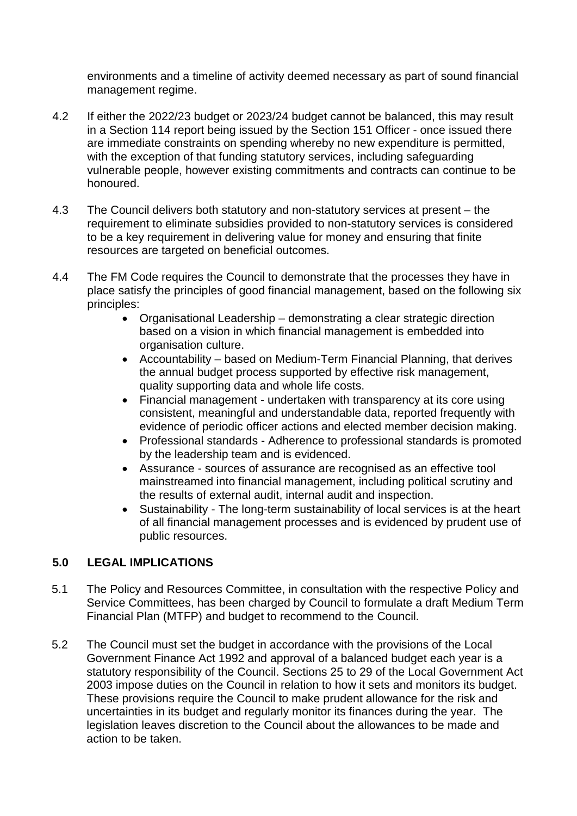environments and a timeline of activity deemed necessary as part of sound financial management regime.

- 4.2 If either the 2022/23 budget or 2023/24 budget cannot be balanced, this may result in a Section 114 report being issued by the Section 151 Officer - once issued there are immediate constraints on spending whereby no new expenditure is permitted, with the exception of that funding statutory services, including safeguarding vulnerable people, however existing commitments and contracts can continue to be honoured.
- 4.3 The Council delivers both statutory and non-statutory services at present the requirement to eliminate subsidies provided to non-statutory services is considered to be a key requirement in delivering value for money and ensuring that finite resources are targeted on beneficial outcomes.
- 4.4 The FM Code requires the Council to demonstrate that the processes they have in place satisfy the principles of good financial management, based on the following six principles:
	- Organisational Leadership demonstrating a clear strategic direction based on a vision in which financial management is embedded into organisation culture.
	- Accountability based on Medium-Term Financial Planning, that derives the annual budget process supported by effective risk management, quality supporting data and whole life costs.
	- Financial management undertaken with transparency at its core using consistent, meaningful and understandable data, reported frequently with evidence of periodic officer actions and elected member decision making.
	- Professional standards Adherence to professional standards is promoted by the leadership team and is evidenced.
	- Assurance sources of assurance are recognised as an effective tool mainstreamed into financial management, including political scrutiny and the results of external audit, internal audit and inspection.
	- Sustainability The long-term sustainability of local services is at the heart of all financial management processes and is evidenced by prudent use of public resources.

#### **5.0 LEGAL IMPLICATIONS**

- 5.1 The Policy and Resources Committee, in consultation with the respective Policy and Service Committees, has been charged by Council to formulate a draft Medium Term Financial Plan (MTFP) and budget to recommend to the Council.
- 5.2 The Council must set the budget in accordance with the provisions of the Local Government Finance Act 1992 and approval of a balanced budget each year is a statutory responsibility of the Council. Sections 25 to 29 of the Local Government Act 2003 impose duties on the Council in relation to how it sets and monitors its budget. These provisions require the Council to make prudent allowance for the risk and uncertainties in its budget and regularly monitor its finances during the year. The legislation leaves discretion to the Council about the allowances to be made and action to be taken.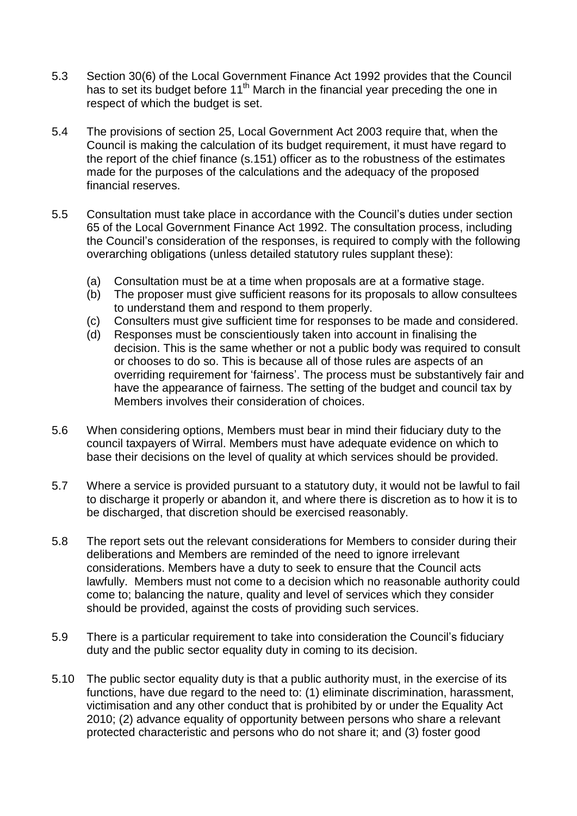- 5.3 Section 30(6) of the Local Government Finance Act 1992 provides that the Council has to set its budget before 11<sup>th</sup> March in the financial year preceding the one in respect of which the budget is set.
- 5.4 The provisions of section 25, Local Government Act 2003 require that, when the Council is making the calculation of its budget requirement, it must have regard to the report of the chief finance (s.151) officer as to the robustness of the estimates made for the purposes of the calculations and the adequacy of the proposed financial reserves.
- 5.5 Consultation must take place in accordance with the Council's duties under section 65 of the Local Government Finance Act 1992. The consultation process, including the Council's consideration of the responses, is required to comply with the following overarching obligations (unless detailed statutory rules supplant these):
	- (a) Consultation must be at a time when proposals are at a formative stage.
	- (b) The proposer must give sufficient reasons for its proposals to allow consultees to understand them and respond to them properly.
	- (c) Consulters must give sufficient time for responses to be made and considered.
	- (d) Responses must be conscientiously taken into account in finalising the decision. This is the same whether or not a public body was required to consult or chooses to do so. This is because all of those rules are aspects of an overriding requirement for 'fairness'. The process must be substantively fair and have the appearance of fairness. The setting of the budget and council tax by Members involves their consideration of choices.
- 5.6 When considering options, Members must bear in mind their fiduciary duty to the council taxpayers of Wirral. Members must have adequate evidence on which to base their decisions on the level of quality at which services should be provided.
- 5.7 Where a service is provided pursuant to a statutory duty, it would not be lawful to fail to discharge it properly or abandon it, and where there is discretion as to how it is to be discharged, that discretion should be exercised reasonably.
- 5.8 The report sets out the relevant considerations for Members to consider during their deliberations and Members are reminded of the need to ignore irrelevant considerations. Members have a duty to seek to ensure that the Council acts lawfully. Members must not come to a decision which no reasonable authority could come to; balancing the nature, quality and level of services which they consider should be provided, against the costs of providing such services.
- 5.9 There is a particular requirement to take into consideration the Council's fiduciary duty and the public sector equality duty in coming to its decision.
- 5.10 The public sector equality duty is that a public authority must, in the exercise of its functions, have due regard to the need to: (1) eliminate discrimination, harassment, victimisation and any other conduct that is prohibited by or under the Equality Act 2010; (2) advance equality of opportunity between persons who share a relevant protected characteristic and persons who do not share it; and (3) foster good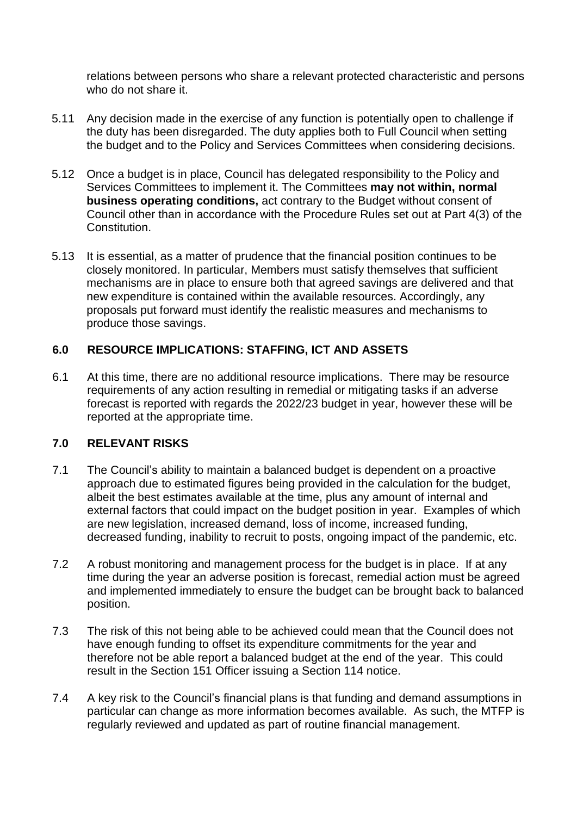relations between persons who share a relevant protected characteristic and persons who do not share it.

- 5.11 Any decision made in the exercise of any function is potentially open to challenge if the duty has been disregarded. The duty applies both to Full Council when setting the budget and to the Policy and Services Committees when considering decisions.
- 5.12 Once a budget is in place, Council has delegated responsibility to the Policy and Services Committees to implement it. The Committees **may not within, normal business operating conditions,** act contrary to the Budget without consent of Council other than in accordance with the Procedure Rules set out at Part 4(3) of the Constitution.
- 5.13 It is essential, as a matter of prudence that the financial position continues to be closely monitored. In particular, Members must satisfy themselves that sufficient mechanisms are in place to ensure both that agreed savings are delivered and that new expenditure is contained within the available resources. Accordingly, any proposals put forward must identify the realistic measures and mechanisms to produce those savings.

#### **6.0 RESOURCE IMPLICATIONS: STAFFING, ICT AND ASSETS**

6.1 At this time, there are no additional resource implications. There may be resource requirements of any action resulting in remedial or mitigating tasks if an adverse forecast is reported with regards the 2022/23 budget in year, however these will be reported at the appropriate time.

#### **7.0 RELEVANT RISKS**

- 7.1 The Council's ability to maintain a balanced budget is dependent on a proactive approach due to estimated figures being provided in the calculation for the budget, albeit the best estimates available at the time, plus any amount of internal and external factors that could impact on the budget position in year. Examples of which are new legislation, increased demand, loss of income, increased funding, decreased funding, inability to recruit to posts, ongoing impact of the pandemic, etc.
- 7.2 A robust monitoring and management process for the budget is in place. If at any time during the year an adverse position is forecast, remedial action must be agreed and implemented immediately to ensure the budget can be brought back to balanced position.
- 7.3 The risk of this not being able to be achieved could mean that the Council does not have enough funding to offset its expenditure commitments for the year and therefore not be able report a balanced budget at the end of the year. This could result in the Section 151 Officer issuing a Section 114 notice.
- 7.4 A key risk to the Council's financial plans is that funding and demand assumptions in particular can change as more information becomes available. As such, the MTFP is regularly reviewed and updated as part of routine financial management.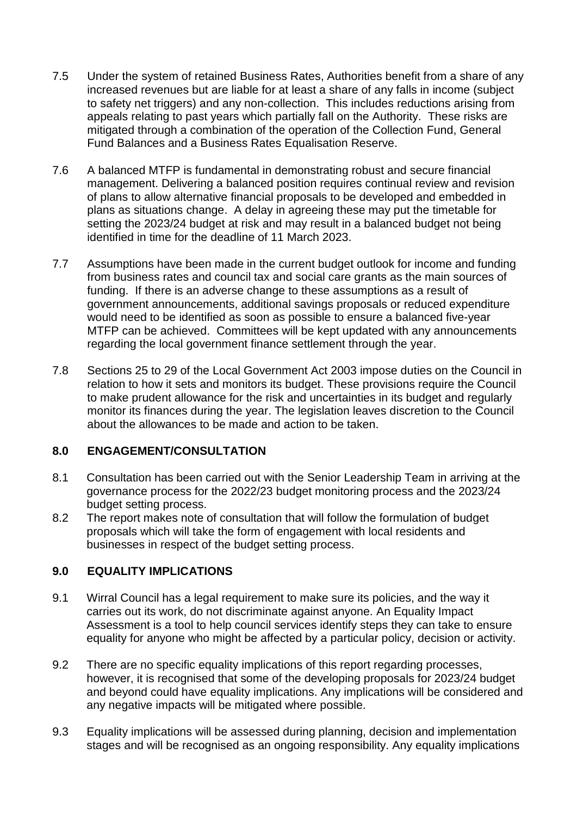- 7.5 Under the system of retained Business Rates, Authorities benefit from a share of any increased revenues but are liable for at least a share of any falls in income (subject to safety net triggers) and any non-collection. This includes reductions arising from appeals relating to past years which partially fall on the Authority. These risks are mitigated through a combination of the operation of the Collection Fund, General Fund Balances and a Business Rates Equalisation Reserve.
- 7.6 A balanced MTFP is fundamental in demonstrating robust and secure financial management. Delivering a balanced position requires continual review and revision of plans to allow alternative financial proposals to be developed and embedded in plans as situations change. A delay in agreeing these may put the timetable for setting the 2023/24 budget at risk and may result in a balanced budget not being identified in time for the deadline of 11 March 2023.
- 7.7 Assumptions have been made in the current budget outlook for income and funding from business rates and council tax and social care grants as the main sources of funding. If there is an adverse change to these assumptions as a result of government announcements, additional savings proposals or reduced expenditure would need to be identified as soon as possible to ensure a balanced five-year MTFP can be achieved. Committees will be kept updated with any announcements regarding the local government finance settlement through the year.
- 7.8 Sections 25 to 29 of the Local Government Act 2003 impose duties on the Council in relation to how it sets and monitors its budget. These provisions require the Council to make prudent allowance for the risk and uncertainties in its budget and regularly monitor its finances during the year. The legislation leaves discretion to the Council about the allowances to be made and action to be taken.

#### **8.0 ENGAGEMENT/CONSULTATION**

- 8.1 Consultation has been carried out with the Senior Leadership Team in arriving at the governance process for the 2022/23 budget monitoring process and the 2023/24 budget setting process.
- 8.2 The report makes note of consultation that will follow the formulation of budget proposals which will take the form of engagement with local residents and businesses in respect of the budget setting process.

#### **9.0 EQUALITY IMPLICATIONS**

- 9.1 Wirral Council has a legal requirement to make sure its policies, and the way it carries out its work, do not discriminate against anyone. An Equality Impact Assessment is a tool to help council services identify steps they can take to ensure equality for anyone who might be affected by a particular policy, decision or activity.
- 9.2 There are no specific equality implications of this report regarding processes, however, it is recognised that some of the developing proposals for 2023/24 budget and beyond could have equality implications. Any implications will be considered and any negative impacts will be mitigated where possible.
- 9.3 Equality implications will be assessed during planning, decision and implementation stages and will be recognised as an ongoing responsibility. Any equality implications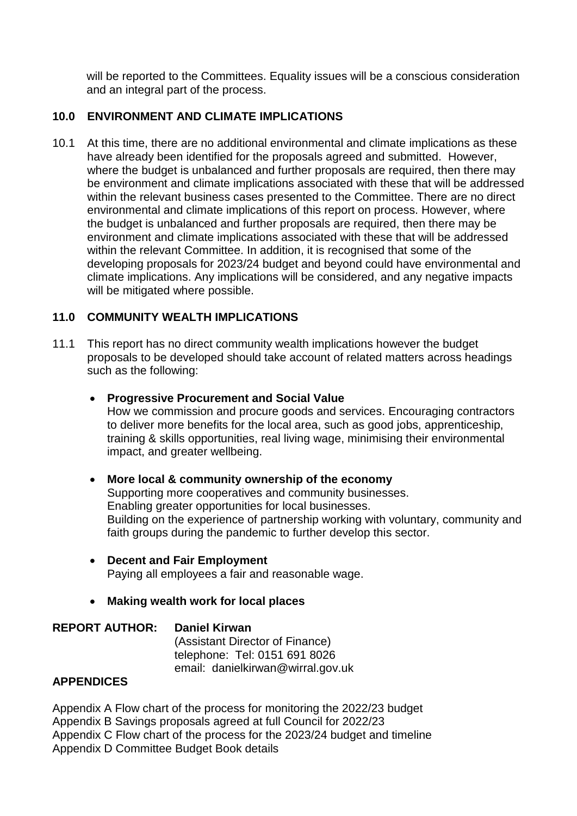will be reported to the Committees. Equality issues will be a conscious consideration and an integral part of the process.

#### **10.0 ENVIRONMENT AND CLIMATE IMPLICATIONS**

10.1 At this time, there are no additional environmental and climate implications as these have already been identified for the proposals agreed and submitted. However, where the budget is unbalanced and further proposals are required, then there may be environment and climate implications associated with these that will be addressed within the relevant business cases presented to the Committee. There are no direct environmental and climate implications of this report on process. However, where the budget is unbalanced and further proposals are required, then there may be environment and climate implications associated with these that will be addressed within the relevant Committee. In addition, it is recognised that some of the developing proposals for 2023/24 budget and beyond could have environmental and climate implications. Any implications will be considered, and any negative impacts will be mitigated where possible.

#### **11.0 COMMUNITY WEALTH IMPLICATIONS**

11.1 This report has no direct community wealth implications however the budget proposals to be developed should take account of related matters across headings such as the following:

#### **Progressive Procurement and Social Value**

How we commission and procure goods and services. Encouraging contractors to deliver more benefits for the local area, such as good jobs, apprenticeship, training & skills opportunities, real living wage, minimising their environmental impact, and greater wellbeing.

#### **More local & community ownership of the economy**

Supporting more cooperatives and community businesses. Enabling greater opportunities for local businesses. Building on the experience of partnership working with voluntary, community and faith groups during the pandemic to further develop this sector.

- **Decent and Fair Employment**  Paying all employees a fair and reasonable wage.
- **Making wealth work for local places**

**REPORT AUTHOR: Daniel Kirwan** (Assistant Director of Finance) telephone: Tel: 0151 691 8026 email: danielkirwan@wirral.gov.uk

#### **APPENDICES**

Appendix A Flow chart of the process for monitoring the 2022/23 budget Appendix B Savings proposals agreed at full Council for 2022/23 Appendix C Flow chart of the process for the 2023/24 budget and timeline Appendix D Committee Budget Book details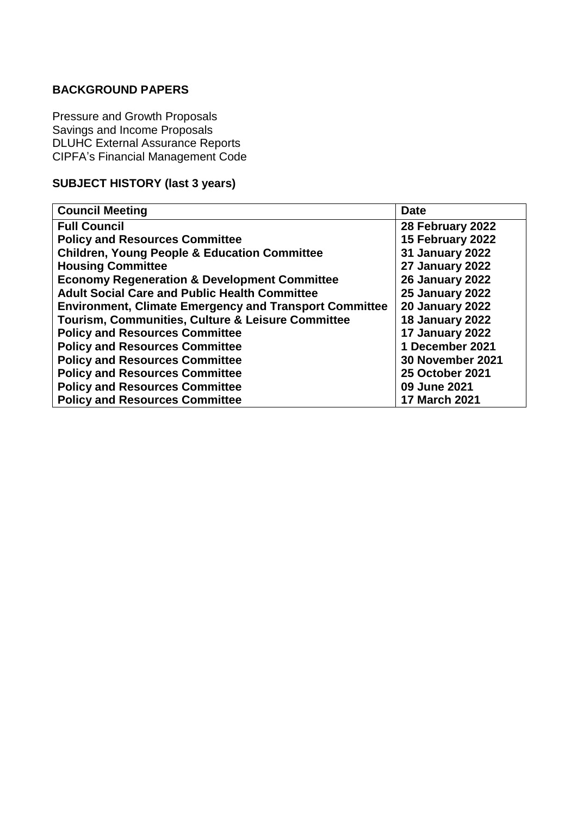#### **BACKGROUND PAPERS**

Pressure and Growth Proposals Savings and Income Proposals DLUHC External Assurance Reports CIPFA's Financial Management Code

#### **SUBJECT HISTORY (last 3 years)**

| <b>Council Meeting</b>                                        | <b>Date</b>             |  |  |
|---------------------------------------------------------------|-------------------------|--|--|
| <b>Full Council</b>                                           | 28 February 2022        |  |  |
| <b>Policy and Resources Committee</b>                         | 15 February 2022        |  |  |
| <b>Children, Young People &amp; Education Committee</b>       | <b>31 January 2022</b>  |  |  |
| <b>Housing Committee</b>                                      | 27 January 2022         |  |  |
| <b>Economy Regeneration &amp; Development Committee</b>       | <b>26 January 2022</b>  |  |  |
| <b>Adult Social Care and Public Health Committee</b>          | <b>25 January 2022</b>  |  |  |
| <b>Environment, Climate Emergency and Transport Committee</b> | <b>20 January 2022</b>  |  |  |
| Tourism, Communities, Culture & Leisure Committee             | <b>18 January 2022</b>  |  |  |
| <b>Policy and Resources Committee</b>                         | <b>17 January 2022</b>  |  |  |
| <b>Policy and Resources Committee</b>                         | 1 December 2021         |  |  |
| <b>Policy and Resources Committee</b>                         | <b>30 November 2021</b> |  |  |
| <b>Policy and Resources Committee</b>                         | <b>25 October 2021</b>  |  |  |
| <b>Policy and Resources Committee</b>                         | 09 June 2021            |  |  |
| <b>Policy and Resources Committee</b>                         | <b>17 March 2021</b>    |  |  |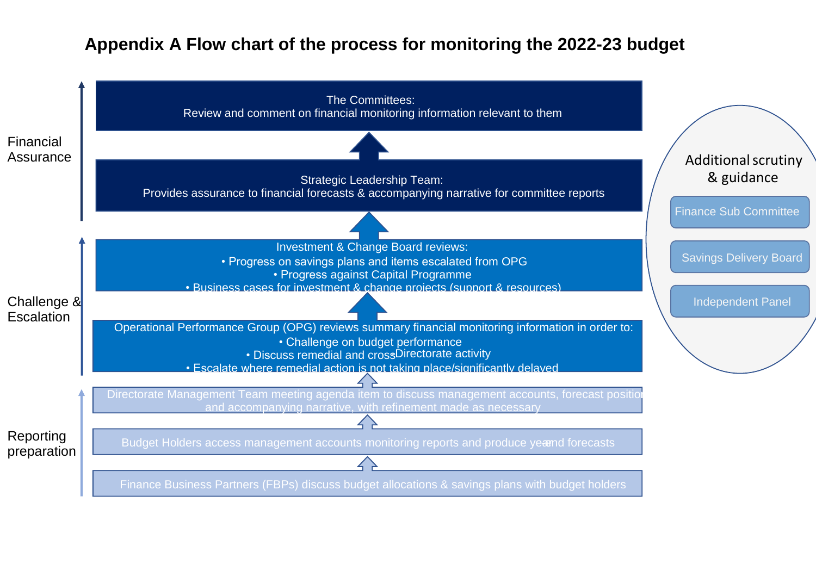### **Appendix A Flow chart of the process for monitoring the 2022-23 budget**

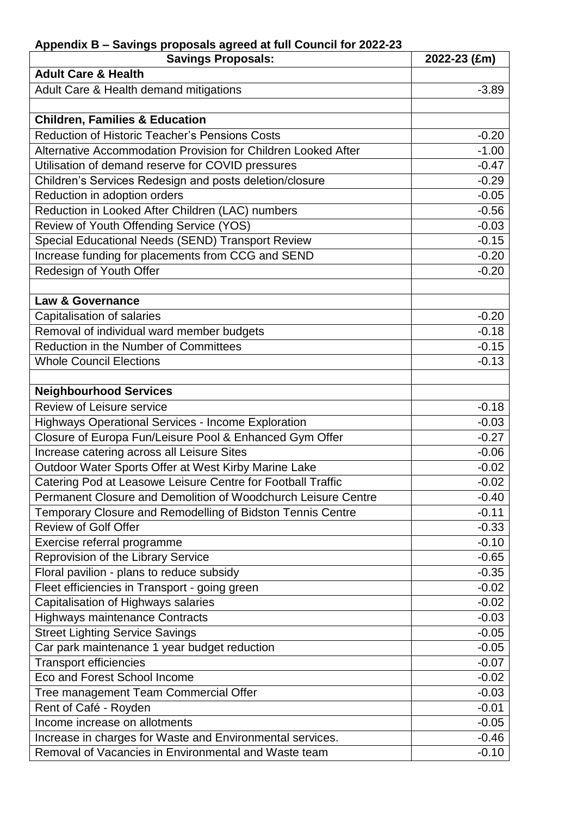| Appendix B - Savings proposals agreed at full Council for 2022-23 |              |
|-------------------------------------------------------------------|--------------|
| <b>Savings Proposals:</b>                                         | 2022-23 (£m) |
| <b>Adult Care &amp; Health</b>                                    |              |
| Adult Care & Health demand mitigations                            | $-3.89$      |
|                                                                   |              |
| <b>Children, Families &amp; Education</b>                         |              |
| <b>Reduction of Historic Teacher's Pensions Costs</b>             | $-0.20$      |
| Alternative Accommodation Provision for Children Looked After     | $-1.00$      |
| Utilisation of demand reserve for COVID pressures                 | $-0.47$      |
| Children's Services Redesign and posts deletion/closure           | $-0.29$      |
| Reduction in adoption orders                                      | $-0.05$      |
| Reduction in Looked After Children (LAC) numbers                  | $-0.56$      |
| Review of Youth Offending Service (YOS)                           | $-0.03$      |
| Special Educational Needs (SEND) Transport Review                 | $-0.15$      |
| Increase funding for placements from CCG and SEND                 | $-0.20$      |
| Redesign of Youth Offer                                           | $-0.20$      |
|                                                                   |              |
| <b>Law &amp; Governance</b>                                       |              |
| Capitalisation of salaries                                        | $-0.20$      |
| Removal of individual ward member budgets                         | $-0.18$      |
| Reduction in the Number of Committees                             | $-0.15$      |
| <b>Whole Council Elections</b>                                    | $-0.13$      |
|                                                                   |              |
| <b>Neighbourhood Services</b>                                     |              |
| <b>Review of Leisure service</b>                                  | $-0.18$      |
| <b>Highways Operational Services - Income Exploration</b>         | $-0.03$      |
| Closure of Europa Fun/Leisure Pool & Enhanced Gym Offer           | $-0.27$      |
| Increase catering across all Leisure Sites                        | $-0.06$      |
| Outdoor Water Sports Offer at West Kirby Marine Lake              | $-0.02$      |
| Catering Pod at Leasowe Leisure Centre for Football Traffic       | $-0.02$      |
| Permanent Closure and Demolition of Woodchurch Leisure Centre     | $-0.40$      |
| Temporary Closure and Remodelling of Bidston Tennis Centre        | $-0.11$      |
| <b>Review of Golf Offer</b>                                       | $-0.33$      |
| Exercise referral programme                                       | $-0.10$      |
| Reprovision of the Library Service                                | $-0.65$      |
| Floral pavilion - plans to reduce subsidy                         | $-0.35$      |
| Fleet efficiencies in Transport - going green                     | $-0.02$      |
| Capitalisation of Highways salaries                               | $-0.02$      |
| <b>Highways maintenance Contracts</b>                             | $-0.03$      |
| <b>Street Lighting Service Savings</b>                            | $-0.05$      |
| Car park maintenance 1 year budget reduction                      | $-0.05$      |
| <b>Transport efficiencies</b>                                     | $-0.07$      |
| Eco and Forest School Income                                      | $-0.02$      |
| Tree management Team Commercial Offer                             | $-0.03$      |
| Rent of Café - Royden                                             | $-0.01$      |
| Income increase on allotments                                     | $-0.05$      |
| Increase in charges for Waste and Environmental services.         | $-0.46$      |
| Removal of Vacancies in Environmental and Waste team              | $-0.10$      |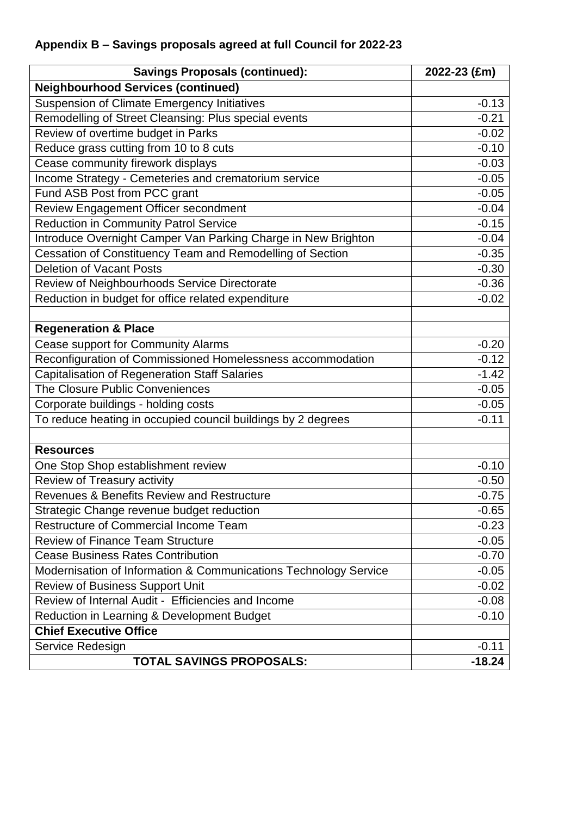### **Appendix B – Savings proposals agreed at full Council for 2022-23**

| <b>Savings Proposals (continued):</b>                            | 2022-23 (£m) |  |
|------------------------------------------------------------------|--------------|--|
| <b>Neighbourhood Services (continued)</b>                        |              |  |
| <b>Suspension of Climate Emergency Initiatives</b>               | $-0.13$      |  |
| Remodelling of Street Cleansing: Plus special events             | $-0.21$      |  |
| Review of overtime budget in Parks                               | $-0.02$      |  |
| Reduce grass cutting from 10 to 8 cuts                           | $-0.10$      |  |
| Cease community firework displays                                | $-0.03$      |  |
| Income Strategy - Cemeteries and crematorium service             | $-0.05$      |  |
| Fund ASB Post from PCC grant                                     | $-0.05$      |  |
| Review Engagement Officer secondment                             | $-0.04$      |  |
| <b>Reduction in Community Patrol Service</b>                     | $-0.15$      |  |
| Introduce Overnight Camper Van Parking Charge in New Brighton    | $-0.04$      |  |
| Cessation of Constituency Team and Remodelling of Section        | $-0.35$      |  |
| <b>Deletion of Vacant Posts</b>                                  | $-0.30$      |  |
| Review of Neighbourhoods Service Directorate                     | $-0.36$      |  |
| Reduction in budget for office related expenditure               | $-0.02$      |  |
|                                                                  |              |  |
| <b>Regeneration &amp; Place</b>                                  |              |  |
| Cease support for Community Alarms                               | $-0.20$      |  |
| Reconfiguration of Commissioned Homelessness accommodation       | $-0.12$      |  |
| <b>Capitalisation of Regeneration Staff Salaries</b>             | $-1.42$      |  |
| The Closure Public Conveniences                                  | $-0.05$      |  |
| Corporate buildings - holding costs                              | $-0.05$      |  |
| To reduce heating in occupied council buildings by 2 degrees     | $-0.11$      |  |
|                                                                  |              |  |
| <b>Resources</b>                                                 |              |  |
| One Stop Shop establishment review                               | $-0.10$      |  |
| Review of Treasury activity                                      | $-0.50$      |  |
| Revenues & Benefits Review and Restructure                       | $-0.75$      |  |
| Strategic Change revenue budget reduction                        | $-0.65$      |  |
| <b>Restructure of Commercial Income Team</b>                     | $-0.23$      |  |
| <b>Review of Finance Team Structure</b>                          | $-0.05$      |  |
| <b>Cease Business Rates Contribution</b>                         | $-0.70$      |  |
| Modernisation of Information & Communications Technology Service | $-0.05$      |  |
| Review of Business Support Unit                                  | $-0.02$      |  |
| Review of Internal Audit - Efficiencies and Income               | $-0.08$      |  |
| Reduction in Learning & Development Budget                       | $-0.10$      |  |
| <b>Chief Executive Office</b>                                    |              |  |
| Service Redesign                                                 | $-0.11$      |  |
| <b>TOTAL SAVINGS PROPOSALS:</b>                                  | $-18.24$     |  |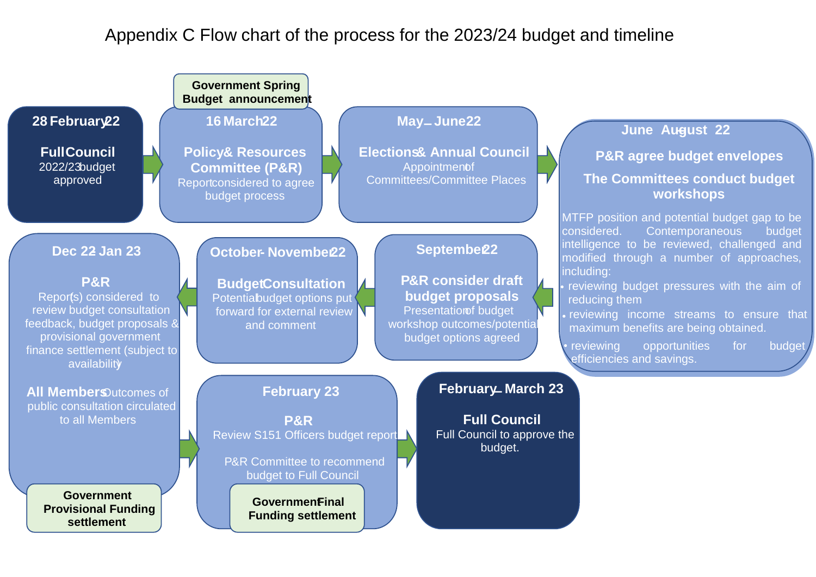### Appendix C Flow chart of the process for the 2023/24 budget and timeline

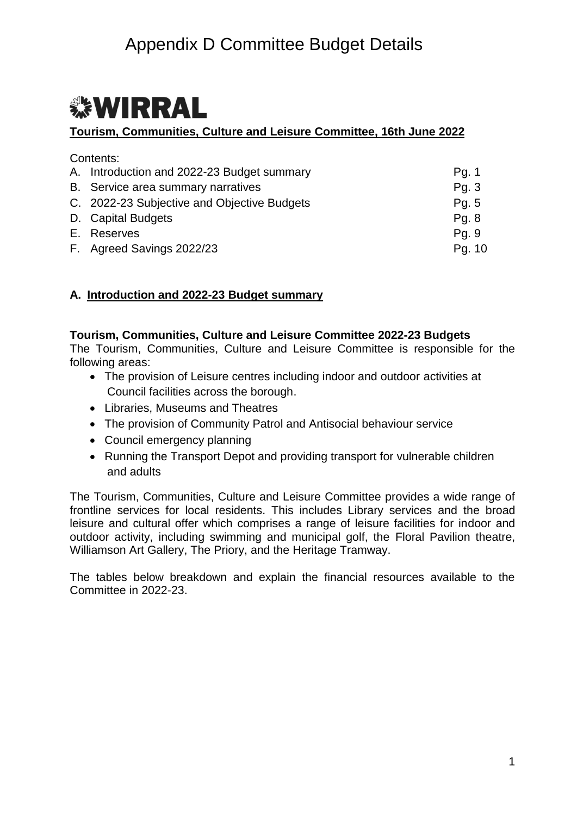# *<b>WIRRAL*

#### **Tourism, Communities, Culture and Leisure Committee, 16th June 2022**

| Contents:                                   |        |
|---------------------------------------------|--------|
| A. Introduction and 2022-23 Budget summary  | Pg. 1  |
| B. Service area summary narratives          | Pg. 3  |
| C. 2022-23 Subjective and Objective Budgets | Pg. 5  |
| D. Capital Budgets                          | Pg. 8  |
| E. Reserves                                 | Pg. 9  |
| F. Agreed Savings 2022/23                   | Pg. 10 |

#### **A. Introduction and 2022-23 Budget summary**

#### **Tourism, Communities, Culture and Leisure Committee 2022-23 Budgets**

The Tourism, Communities, Culture and Leisure Committee is responsible for the following areas:

- The provision of Leisure centres including indoor and outdoor activities at Council facilities across the borough.
- Libraries, Museums and Theatres
- The provision of Community Patrol and Antisocial behaviour service
- Council emergency planning
- Running the Transport Depot and providing transport for vulnerable children and adults

The Tourism, Communities, Culture and Leisure Committee provides a wide range of frontline services for local residents. This includes Library services and the broad leisure and cultural offer which comprises a range of leisure facilities for indoor and outdoor activity, including swimming and municipal golf, the Floral Pavilion theatre, Williamson Art Gallery, The Priory, and the Heritage Tramway.

The tables below breakdown and explain the financial resources available to the Committee in 2022-23.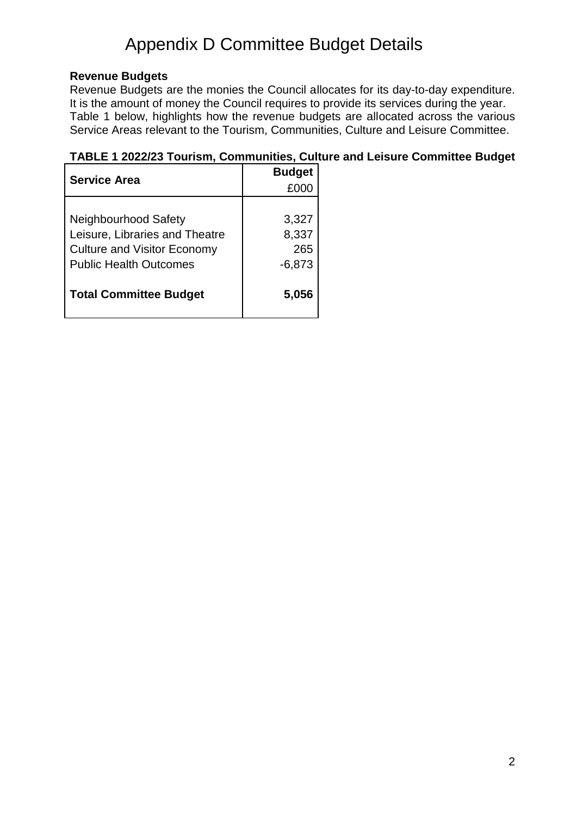#### **Revenue Budgets**

Revenue Budgets are the monies the Council allocates for its day-to-day expenditure. It is the amount of money the Council requires to provide its services during the year. Table 1 below, highlights how the revenue budgets are allocated across the various Service Areas relevant to the Tourism, Communities, Culture and Leisure Committee.

#### **TABLE 1 2022/23 Tourism, Communities, Culture and Leisure Committee Budget**

| <b>Service Area</b>                | <b>Budget</b> |  |  |
|------------------------------------|---------------|--|--|
|                                    | £000          |  |  |
|                                    |               |  |  |
| Neighbourhood Safety               | 3,327         |  |  |
| Leisure, Libraries and Theatre     | 8,337         |  |  |
| <b>Culture and Visitor Economy</b> | 265           |  |  |
| <b>Public Health Outcomes</b>      | $-6,873$      |  |  |
|                                    |               |  |  |
| <b>Total Committee Budget</b>      | 5,056         |  |  |
|                                    |               |  |  |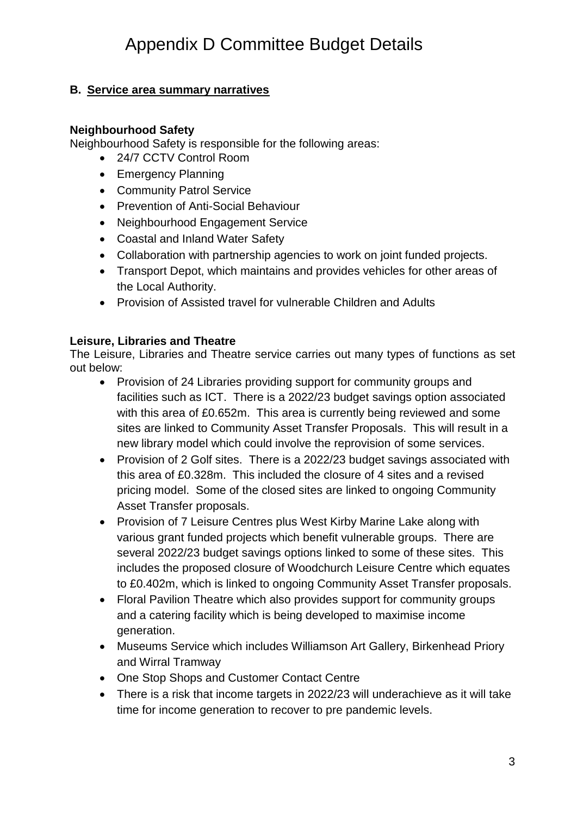#### **B. Service area summary narratives**

#### **Neighbourhood Safety**

Neighbourhood Safety is responsible for the following areas:

- 24/7 CCTV Control Room
- Emergency Planning
- Community Patrol Service
- Prevention of Anti-Social Behaviour
- Neighbourhood Engagement Service
- Coastal and Inland Water Safety
- Collaboration with partnership agencies to work on joint funded projects.
- Transport Depot, which maintains and provides vehicles for other areas of the Local Authority.
- Provision of Assisted travel for vulnerable Children and Adults

#### **Leisure, Libraries and Theatre**

The Leisure, Libraries and Theatre service carries out many types of functions as set out below:

- Provision of 24 Libraries providing support for community groups and facilities such as ICT. There is a 2022/23 budget savings option associated with this area of £0.652m. This area is currently being reviewed and some sites are linked to Community Asset Transfer Proposals. This will result in a new library model which could involve the reprovision of some services.
- Provision of 2 Golf sites. There is a 2022/23 budget savings associated with this area of £0.328m. This included the closure of 4 sites and a revised pricing model. Some of the closed sites are linked to ongoing Community Asset Transfer proposals.
- Provision of 7 Leisure Centres plus West Kirby Marine Lake along with various grant funded projects which benefit vulnerable groups. There are several 2022/23 budget savings options linked to some of these sites. This includes the proposed closure of Woodchurch Leisure Centre which equates to £0.402m, which is linked to ongoing Community Asset Transfer proposals.
- Floral Pavilion Theatre which also provides support for community groups and a catering facility which is being developed to maximise income generation.
- Museums Service which includes Williamson Art Gallery, Birkenhead Priory and Wirral Tramway
- One Stop Shops and Customer Contact Centre
- There is a risk that income targets in 2022/23 will underachieve as it will take time for income generation to recover to pre pandemic levels.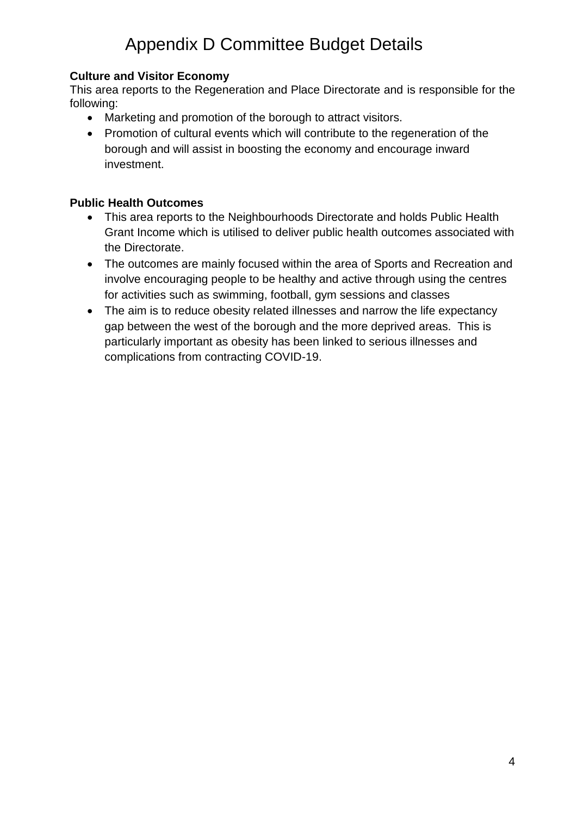#### **Culture and Visitor Economy**

This area reports to the Regeneration and Place Directorate and is responsible for the following:

- Marketing and promotion of the borough to attract visitors.
- Promotion of cultural events which will contribute to the regeneration of the borough and will assist in boosting the economy and encourage inward investment.

#### **Public Health Outcomes**

- This area reports to the Neighbourhoods Directorate and holds Public Health Grant Income which is utilised to deliver public health outcomes associated with the Directorate.
- The outcomes are mainly focused within the area of Sports and Recreation and involve encouraging people to be healthy and active through using the centres for activities such as swimming, football, gym sessions and classes
- The aim is to reduce obesity related illnesses and narrow the life expectancy gap between the west of the borough and the more deprived areas. This is particularly important as obesity has been linked to serious illnesses and complications from contracting COVID-19.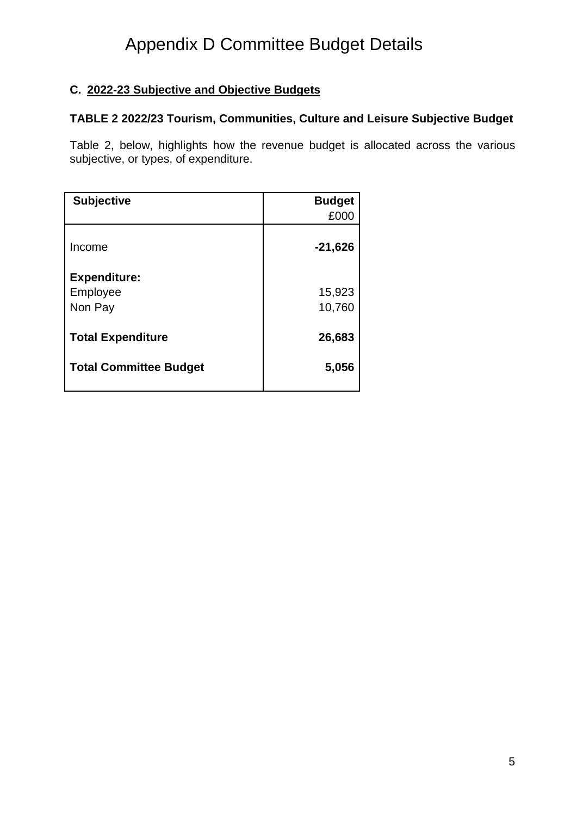#### **C. 2022-23 Subjective and Objective Budgets**

#### **TABLE 2 2022/23 Tourism, Communities, Culture and Leisure Subjective Budget**

Table 2, below, highlights how the revenue budget is allocated across the various subjective, or types, of expenditure.

| <b>Subjective</b>             | <b>Budget</b> |
|-------------------------------|---------------|
|                               | £000          |
| Income                        | $-21,626$     |
| <b>Expenditure:</b>           |               |
| Employee                      | 15,923        |
| Non Pay                       | 10,760        |
| <b>Total Expenditure</b>      | 26,683        |
| <b>Total Committee Budget</b> | 5,056         |
|                               |               |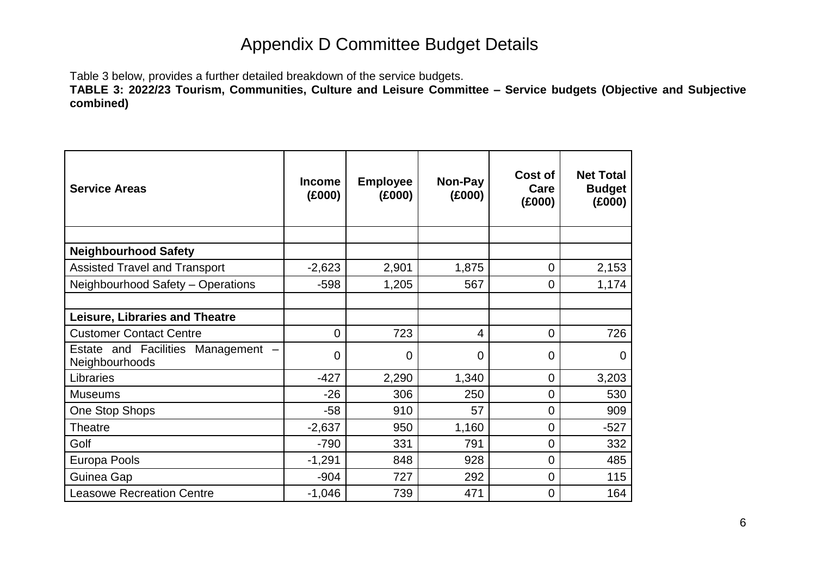Table 3 below, provides a further detailed breakdown of the service budgets.

**TABLE 3: 2022/23 Tourism, Communities, Culture and Leisure Committee – Service budgets (Objective and Subjective combined)**

| <b>Service Areas</b>                                 | <b>Income</b><br>(E000) | <b>Employee</b><br>(E000) | Non-Pay<br>(£000) | Cost of<br>Care<br>(E000) | <b>Net Total</b><br><b>Budget</b><br>(E000) |
|------------------------------------------------------|-------------------------|---------------------------|-------------------|---------------------------|---------------------------------------------|
| <b>Neighbourhood Safety</b>                          |                         |                           |                   |                           |                                             |
| <b>Assisted Travel and Transport</b>                 | $-2,623$                | 2,901                     | 1,875             | $\overline{0}$            | 2,153                                       |
| Neighbourhood Safety - Operations                    | $-598$                  | 1,205                     | 567               | 0                         | 1,174                                       |
|                                                      |                         |                           |                   |                           |                                             |
| <b>Leisure, Libraries and Theatre</b>                |                         |                           |                   |                           |                                             |
| <b>Customer Contact Centre</b>                       | 0                       | 723                       | 4                 | $\overline{0}$            | 726                                         |
| Estate and Facilities Management -<br>Neighbourhoods | $\overline{0}$          | $\mathbf 0$               | $\overline{0}$    | $\overline{0}$            | 0                                           |
| Libraries                                            | $-427$                  | 2,290                     | 1,340             | $\overline{0}$            | 3,203                                       |
| <b>Museums</b>                                       | $-26$                   | 306                       | 250               | $\overline{0}$            | 530                                         |
| One Stop Shops                                       | $-58$                   | 910                       | 57                | $\overline{0}$            | 909                                         |
| <b>Theatre</b>                                       | $-2,637$                | 950                       | 1,160             | 0                         | $-527$                                      |
| Golf                                                 | $-790$                  | 331                       | 791               | 0                         | 332                                         |
| Europa Pools                                         | $-1,291$                | 848                       | 928               | $\overline{0}$            | 485                                         |
| Guinea Gap                                           | $-904$                  | 727                       | 292               | $\overline{0}$            | 115                                         |
| <b>Leasowe Recreation Centre</b>                     | $-1,046$                | 739                       | 471               | 0                         | 164                                         |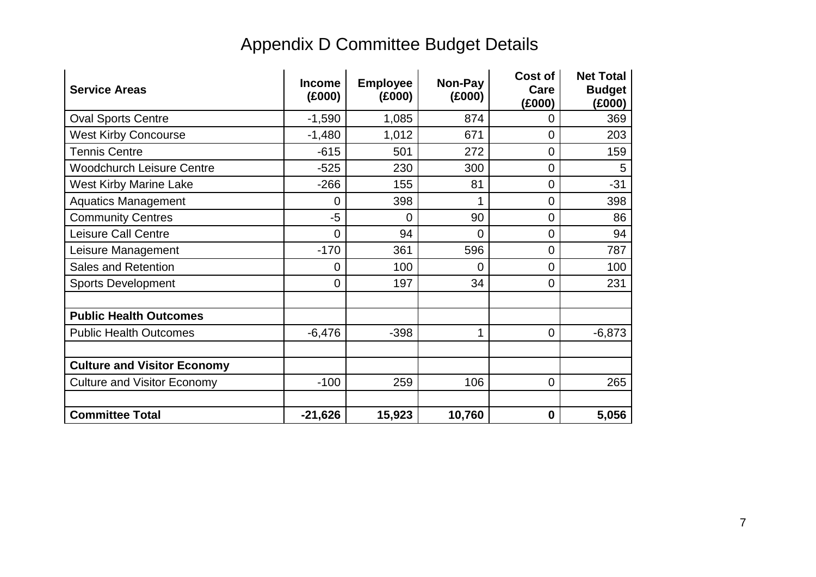| <b>Service Areas</b>               | <b>Income</b><br>(E000) | <b>Employee</b><br>(E000) | Non-Pay<br>(E000) | Cost of<br>Care<br>(E000) | <b>Net Total</b><br><b>Budget</b><br>(£000) |
|------------------------------------|-------------------------|---------------------------|-------------------|---------------------------|---------------------------------------------|
| <b>Oval Sports Centre</b>          | $-1,590$                | 1,085                     | 874               | 0                         | 369                                         |
| <b>West Kirby Concourse</b>        | $-1,480$                | 1,012                     | 671               | 0                         | 203                                         |
| <b>Tennis Centre</b>               | $-615$                  | 501                       | 272               | 0                         | 159                                         |
| <b>Woodchurch Leisure Centre</b>   | $-525$                  | 230                       | 300               | 0                         | 5                                           |
| <b>West Kirby Marine Lake</b>      | $-266$                  | 155                       | 81                | 0                         | $-31$                                       |
| <b>Aquatics Management</b>         | 0                       | 398                       |                   | $\overline{0}$            | 398                                         |
| <b>Community Centres</b>           | $-5$                    | 0                         | 90                | 0                         | 86                                          |
| <b>Leisure Call Centre</b>         | 0                       | 94                        | $\Omega$          | 0                         | 94                                          |
| Leisure Management                 | $-170$                  | 361                       | 596               | 0                         | 787                                         |
| <b>Sales and Retention</b>         | 0                       | 100                       | $\Omega$          | $\overline{0}$            | 100                                         |
| <b>Sports Development</b>          | 0                       | 197                       | 34                | 0                         | 231                                         |
| <b>Public Health Outcomes</b>      |                         |                           |                   |                           |                                             |
| <b>Public Health Outcomes</b>      | $-6,476$                | $-398$                    |                   | $\mathbf 0$               | $-6,873$                                    |
| <b>Culture and Visitor Economy</b> |                         |                           |                   |                           |                                             |
| <b>Culture and Visitor Economy</b> | $-100$                  | 259                       | 106               | $\mathbf 0$               | 265                                         |
| <b>Committee Total</b>             | $-21,626$               | 15,923                    | 10,760            | $\mathbf 0$               | 5,056                                       |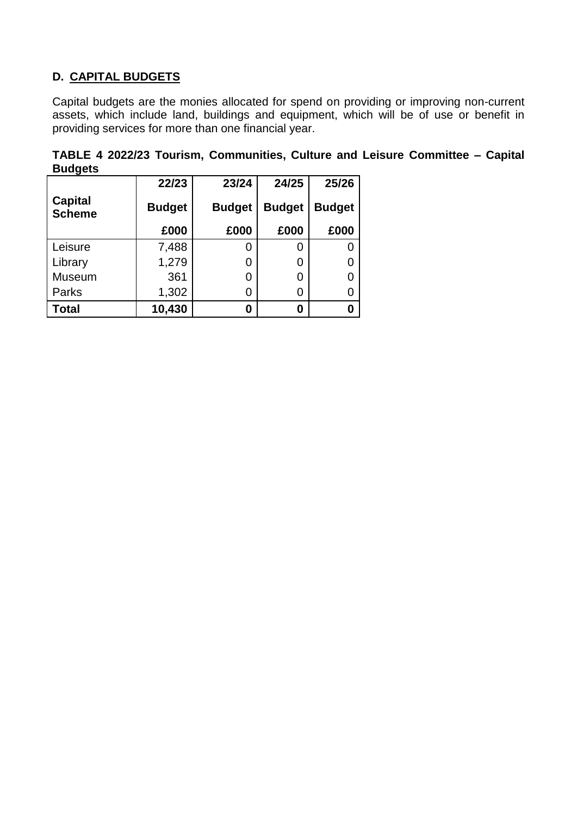#### **D. CAPITAL BUDGETS**

Capital budgets are the monies allocated for spend on providing or improving non-current assets, which include land, buildings and equipment, which will be of use or benefit in providing services for more than one financial year.

|                |  | TABLE 4 2022/23 Tourism, Communities, Culture and Leisure Committee - Capital |  |  |  |
|----------------|--|-------------------------------------------------------------------------------|--|--|--|
| <b>Budgets</b> |  |                                                                               |  |  |  |

|                                 | 22/23         | 23/24         | 24/25         | 25/26         |
|---------------------------------|---------------|---------------|---------------|---------------|
| <b>Capital</b><br><b>Scheme</b> | <b>Budget</b> | <b>Budget</b> | <b>Budget</b> | <b>Budget</b> |
|                                 | £000          | £000          | £000          | £000          |
| Leisure                         | 7,488         | 0             | 0             |               |
| Library                         | 1,279         | 0             | 0             |               |
| <b>Museum</b>                   | 361           | 0             | 0             |               |
| Parks                           | 1,302         | 0             | 0             |               |
| <b>Total</b>                    | 10,430        | 0             | 0             |               |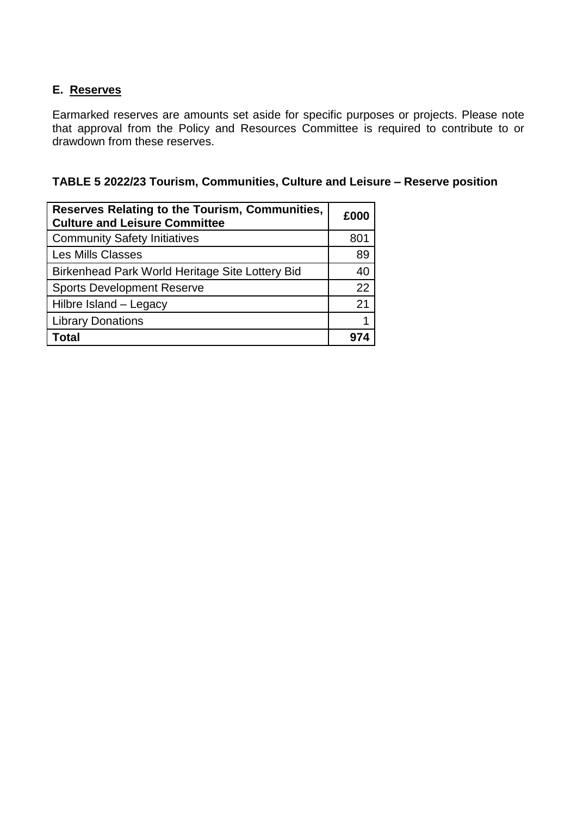#### **E. Reserves**

Earmarked reserves are amounts set aside for specific purposes or projects. Please note that approval from the Policy and Resources Committee is required to contribute to or drawdown from these reserves.

| <b>Reserves Relating to the Tourism, Communities,</b><br><b>Culture and Leisure Committee</b> | £000 |
|-----------------------------------------------------------------------------------------------|------|
| <b>Community Safety Initiatives</b>                                                           | 801  |
| <b>Les Mills Classes</b>                                                                      | 89   |
| Birkenhead Park World Heritage Site Lottery Bid                                               | 40   |
| <b>Sports Development Reserve</b>                                                             | 22   |
| Hilbre Island - Legacy                                                                        | 21   |
| <b>Library Donations</b>                                                                      |      |
| Total                                                                                         |      |